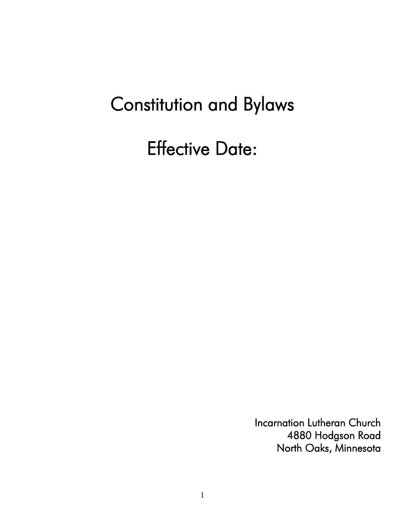# Constitution and Bylaws

Effective Date:

Incarnation Lutheran Church 4880 Hodgson Road North Oaks, Minnesota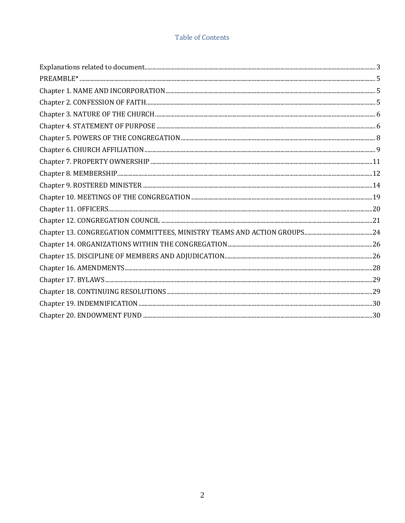# **Table of Contents**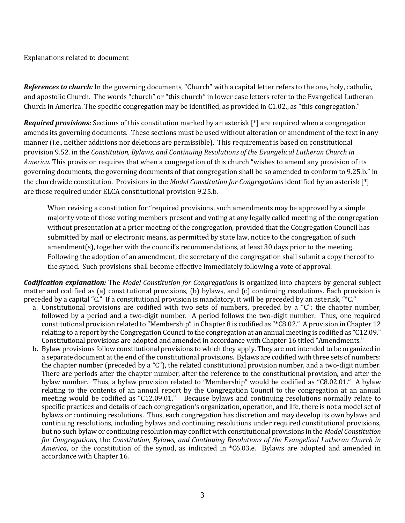#### <span id="page-2-0"></span>Explanations related to document

*References to church:* In the governing documents, "Church" with a capital letter refers to the one, holy, catholic, and apostolic Church. The words "church" or "this church" in lower case letters refer to the Evangelical Lutheran Church in America. The specific congregation may be identified, as provided in C1.02., as "this congregation."

*Required provisions:* Sections of this constitution marked by an asterisk [\*] are required when a congregation amends its governing documents. These sections must be used without alteration or amendment of the text in any manner (i.e., neither additions nor deletions are permissible). This requirement is based on constitutional provision 9.52. in the *Constitution, Bylaws, and Continuing Resolutions of the Evangelical Lutheran Church in America*. This provision requires that when a congregation of this church "wishes to amend any provision of its governing documents, the governing documents of that congregation shall be so amended to conform to 9.25.b." in the churchwide constitution. Provisions in the *Model Constitution for Congregations* identified by an asterisk [\*] are those required under ELCA constitutional provision 9.25.b.

When revising a constitution for "required provisions, such amendments may be approved by a simple majority vote of those voting members present and voting at any legally called meeting of the congregation without presentation at a prior meeting of the congregation, provided that the Congregation Council has submitted by mail or electronic means, as permitted by state law, notice to the congregation of such amendment(s), together with the council's recommendations, at least 30 days prior to the meeting. Following the adoption of an amendment, the secretary of the congregation shall submit a copy thereof to the synod. Such provisions shall become effective immediately following a vote of approval.

*Codification explanation:* The *Model Constitution for Congregations* is organized into chapters by general subject matter and codified as (a) constitutional provisions, (b) bylaws, and (c) continuing resolutions. Each provision is preceded by a capital "C." If a constitutional provision is mandatory, it will be preceded by an asterisk, "\*C."

- a. Constitutional provisions are codified with two sets of numbers, preceded by a "C": the chapter number, followed by a period and a two-digit number. A period follows the two-digit number. Thus, one required constitutional provision related to "Membership" in Chapter 8 is codified as "\*C8.02." A provision in Chapter 12 relating to a report by the Congregation Council to the congregation at an annual meeting is codified as "C12.09." Constitutional provisions are adopted and amended in accordance with Chapter 16 titled "Amendments."
- b. Bylaw provisions follow constitutional provisions to which they apply. They are not intended to be organized in a separate document at the end of the constitutional provisions. Bylaws are codified with three sets of numbers: the chapter number (preceded by a "C"), the related constitutional provision number, and a two-digit number. There are periods after the chapter number, after the reference to the constitutional provision, and after the bylaw number. Thus, a bylaw provision related to "Membership" would be codified as "C8.02.01." A bylaw relating to the contents of an annual report by the Congregation Council to the congregation at an annual meeting would be codified as "C12.09.01." Because bylaws and continuing resolutions normally relate to specific practices and details of each congregation's organization, operation, and life, there is not a model set of bylaws or continuing resolutions. Thus, each congregation has discretion and may develop its own bylaws and continuing resolutions, including bylaws and continuing resolutions under required constitutional provisions, but no such bylaw or continuing resolution may conflict with constitutional provisions in the *Model Constitution for Congregations*, the *Constitution, Bylaws, and Continuing Resolutions of the Evangelical Lutheran Church in America*, or the constitution of the synod, as indicated in \*C6.03.e. Bylaws are adopted and amended in accordance with Chapter 16.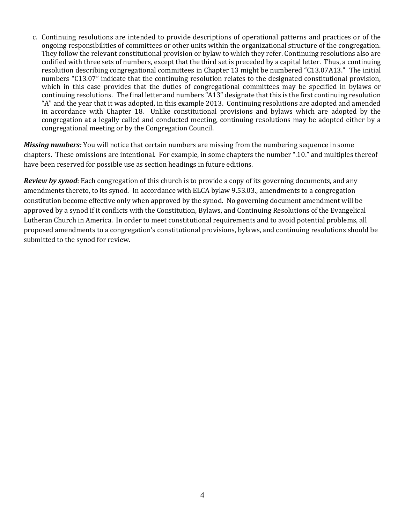c. Continuing resolutions are intended to provide descriptions of operational patterns and practices or of the ongoing responsibilities of committees or other units within the organizational structure of the congregation. They follow the relevant constitutional provision or bylaw to which they refer. Continuing resolutions also are codified with three sets of numbers, except that the third set is preceded by a capital letter. Thus, a continuing resolution describing congregational committees in Chapter 13 might be numbered "C13.07A13." The initial numbers "C13.07" indicate that the continuing resolution relates to the designated constitutional provision, which in this case provides that the duties of congregational committees may be specified in bylaws or continuing resolutions. The final letter and numbers "A13" designate that this is the first continuing resolution "A" and the year that it was adopted, in this example 2013. Continuing resolutions are adopted and amended in accordance with Chapter 18. Unlike constitutional provisions and bylaws which are adopted by the congregation at a legally called and conducted meeting, continuing resolutions may be adopted either by a congregational meeting or by the Congregation Council.

*Missing numbers:* You will notice that certain numbers are missing from the numbering sequence in some chapters. These omissions are intentional. For example, in some chapters the number ".10." and multiples thereof have been reserved for possible use as section headings in future editions.

*Review by synod*: Each congregation of this church is to provide a copy of its governing documents, and any amendments thereto, to its synod. In accordance with ELCA bylaw 9.53.03., amendments to a congregation constitution become effective only when approved by the synod. No governing document amendment will be approved by a synod if it conflicts with the Constitution, Bylaws, and Continuing Resolutions of the Evangelical Lutheran Church in America. In order to meet constitutional requirements and to avoid potential problems, all proposed amendments to a congregation's constitutional provisions, bylaws, and continuing resolutions should be submitted to the synod for review.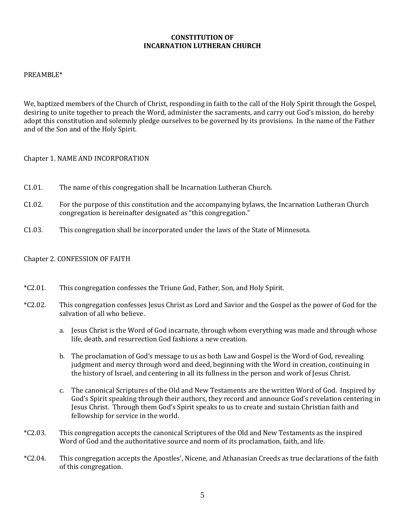## **CONSTITUTION OF INCARNATION LUTHERAN CHURCH**

#### <span id="page-4-0"></span>PREAMBLE\*

We, baptized members of the Church of Christ, responding in faith to the call of the Holy Spirit through the Gospel, desiring to unite together to preach the Word, administer the sacraments, and carry out God's mission, do hereby adopt this constitution and solemnly pledge ourselves to be governed by its provisions. In the name of the Father and of the Son and of the Holy Spirit.

#### <span id="page-4-1"></span>Chapter 1. NAME AND INCORPORATION

- C1.01. The name of this congregation shall be Incarnation Lutheran Church.
- C1.02. For the purpose of this constitution and the accompanying bylaws, the Incarnation Lutheran Church congregation is hereinafter designated as "this congregation."
- <span id="page-4-2"></span>C1.03. This congregation shall be incorporated under the laws of the State of Minnesota.

#### Chapter 2. CONFESSION OF FAITH

- \*C2.01. This congregation confesses the Triune God, Father, Son, and Holy Spirit.
- \*C2.02. This congregation confesses Jesus Christ as Lord and Savior and the Gospel as the power of God for the salvation of all who believe.
	- a. Jesus Christ is the Word of God incarnate, through whom everything was made and through whose life, death, and resurrection God fashions a new creation.
	- b. The proclamation of God's message to us as both Law and Gospel is the Word of God, revealing judgment and mercy through word and deed, beginning with the Word in creation, continuing in the history of Israel, and centering in all its fullness in the person and work of Jesus Christ.
	- c. The canonical Scriptures of the Old and New Testaments are the written Word of God. Inspired by God's Spirit speaking through their authors, they record and announce God's revelation centering in Jesus Christ. Through them God's Spirit speaks to us to create and sustain Christian faith and fellowship for service in the world.
- \*C2.03. This congregation accepts the canonical Scriptures of the Old and New Testaments as the inspired Word of God and the authoritative source and norm of its proclamation, faith, and life.
- \*C2.04. This congregation accepts the Apostles', Nicene, and Athanasian Creeds as true declarations of the faith of this congregation.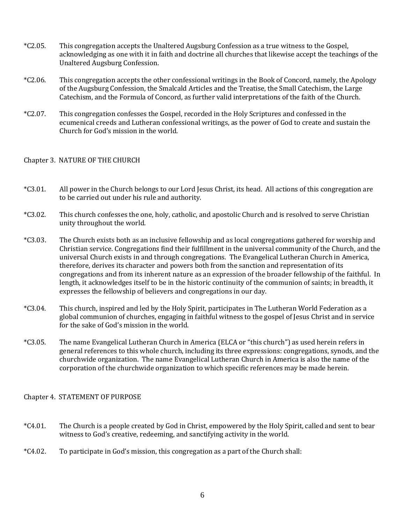- \*C2.05. This congregation accepts the Unaltered Augsburg Confession as a true witness to the Gospel, acknowledging as one with it in faith and doctrine all churches that likewise accept the teachings of the Unaltered Augsburg Confession.
- \*C2.06. This congregation accepts the other confessional writings in the Book of Concord, namely, the Apology of the Augsburg Confession, the Smalcald Articles and the Treatise, the Small Catechism, the Large Catechism, and the Formula of Concord, as further valid interpretations of the faith of the Church.
- \*C2.07. This congregation confesses the Gospel, recorded in the Holy Scriptures and confessed in the ecumenical creeds and Lutheran confessional writings, as the power of God to create and sustain the Church for God's mission in the world.

## <span id="page-5-0"></span>Chapter 3. NATURE OF THE CHURCH

- \*C3.01. All power in the Church belongs to our Lord Jesus Christ, its head. All actions of this congregation are to be carried out under his rule and authority.
- \*C3.02. This church confesses the one, holy, catholic, and apostolic Church and is resolved to serve Christian unity throughout the world.
- \*C3.03. The Church exists both as an inclusive fellowship and as local congregations gathered for worship and Christian service. Congregations find their fulfillment in the universal community of the Church, and the universal Church exists in and through congregations. The Evangelical Lutheran Church in America, therefore, derives its character and powers both from the sanction and representation of its congregations and from its inherent nature as an expression of the broader fellowship of the faithful. In length, it acknowledges itself to be in the historic continuity of the communion of saints; in breadth, it expresses the fellowship of believers and congregations in our day.
- \*C3.04. This church, inspired and led by the Holy Spirit, participates in The Lutheran World Federation as a global communion of churches, engaging in faithful witness to the gospel of Jesus Christ and in service for the sake of God's mission in the world.
- \*C3.05. The name Evangelical Lutheran Church in America (ELCA or "this church") as used herein refers in general references to this whole church, including its three expressions: congregations, synods, and the churchwide organization. The name Evangelical Lutheran Church in America is also the name of the corporation of the churchwide organization to which specific references may be made herein.

## <span id="page-5-1"></span>Chapter 4. STATEMENT OF PURPOSE

- \*C4.01. The Church is a people created by God in Christ, empowered by the Holy Spirit, called and sent to bear witness to God's creative, redeeming, and sanctifying activity in the world.
- \*C4.02. To participate in God's mission, this congregation as a part of the Church shall: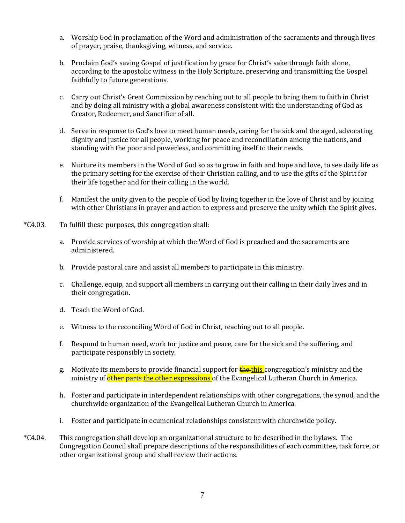- a. Worship God in proclamation of the Word and administration of the sacraments and through lives of prayer, praise, thanksgiving, witness, and service.
- b. Proclaim God's saving Gospel of justification by grace for Christ's sake through faith alone, according to the apostolic witness in the Holy Scripture, preserving and transmitting the Gospel faithfully to future generations.
- c. Carry out Christ's Great Commission by reaching out to all people to bring them to faith in Christ and by doing all ministry with a global awareness consistent with the understanding of God as Creator, Redeemer, and Sanctifier of all.
- d. Serve in response to God's love to meet human needs, caring for the sick and the aged, advocating dignity and justice for all people, working for peace and reconciliation among the nations, and standing with the poor and powerless, and committing itself to their needs.
- e. Nurture its members in the Word of God so as to grow in faith and hope and love, to see daily life as the primary setting for the exercise of their Christian calling, and to use the gifts of the Spirit for their life together and for their calling in the world.
- f. Manifest the unity given to the people of God by living together in the love of Christ and by joining with other Christians in prayer and action to express and preserve the unity which the Spirit gives.
- \*C4.03. To fulfill these purposes, this congregation shall:
	- a. Provide services of worship at which the Word of God is preached and the sacraments are administered.
	- b. Provide pastoral care and assist all members to participate in this ministry.
	- c. Challenge, equip, and support all members in carrying out their calling in their daily lives and in their congregation.
	- d. Teach the Word of God.
	- e. Witness to the reconciling Word of God in Christ, reaching out to all people.
	- f. Respond to human need, work for justice and peace, care for the sick and the suffering, and participate responsibly in society.
	- g. Motivate its members to provide financial support for **the this** congregation's ministry and the ministry of **other parts the other expressions** of the Evangelical Lutheran Church in America.
	- h. Foster and participate in interdependent relationships with other congregations, the synod, and the churchwide organization of the Evangelical Lutheran Church in America.
	- i. Foster and participate in ecumenical relationships consistent with churchwide policy.
- \*C4.04. This congregation shall develop an organizational structure to be described in the bylaws. The Congregation Council shall prepare descriptions of the responsibilities of each committee, task force, or other organizational group and shall review their actions.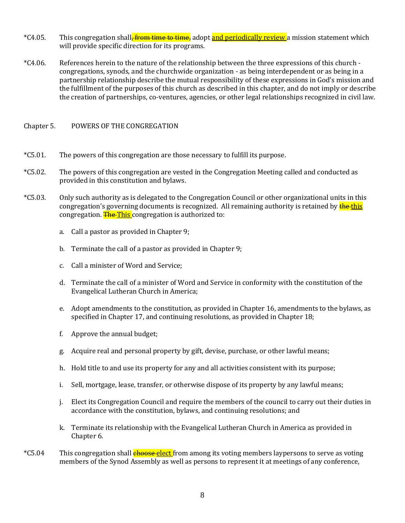- \*C4.05. This congregation shall<del>, from time to time,</del> adopt <mark>and periodically review</mark> a mission statement which will provide specific direction for its programs.
- \*C4.06. References herein to the nature of the relationship between the three expressions of this church congregations, synods, and the churchwide organization - as being interdependent or as being in a partnership relationship describe the mutual responsibility of these expressions in God's mission and the fulfillment of the purposes of this church as described in this chapter, and do not imply or describe the creation of partnerships, co-ventures, agencies, or other legal relationships recognized in civil law.

## <span id="page-7-0"></span>Chapter 5. POWERS OF THE CONGREGATION

- \*C5.01. The powers of this congregation are those necessary to fulfill its purpose.
- \*C5.02. The powers of this congregation are vested in the Congregation Meeting called and conducted as provided in this constitution and bylaws.
- \*C5.03. Only such authority as is delegated to the Congregation Council or other organizational units in this congregation's governing documents is recognized. All remaining authority is retained by the this congregation. The This congregation is authorized to:
	- a. Call a pastor as provided in Chapter 9;
	- b. Terminate the call of a pastor as provided in Chapter 9;
	- c. Call a minister of Word and Service;
	- d. Terminate the call of a minister of Word and Service in conformity with the constitution of the Evangelical Lutheran Church in America;
	- e. Adopt amendments to the constitution, as provided in Chapter 16, amendments to the bylaws, as specified in Chapter 17, and continuing resolutions, as provided in Chapter 18;
	- f. Approve the annual budget;
	- g. Acquire real and personal property by gift, devise, purchase, or other lawful means;
	- h. Hold title to and use its property for any and all activities consistent with its purpose;
	- i. Sell, mortgage, lease, transfer, or otherwise dispose of its property by any lawful means;
	- j. Elect its Congregation Council and require the members of the council to carry out their duties in accordance with the constitution, bylaws, and continuing resolutions; and
	- k. Terminate its relationship with the Evangelical Lutheran Church in America as provided in Chapter 6.
- \*C5.04 This congregation shall **choose elect** from among its voting members laypersons to serve as voting members of the Synod Assembly as well as persons to represent it at meetings of any conference,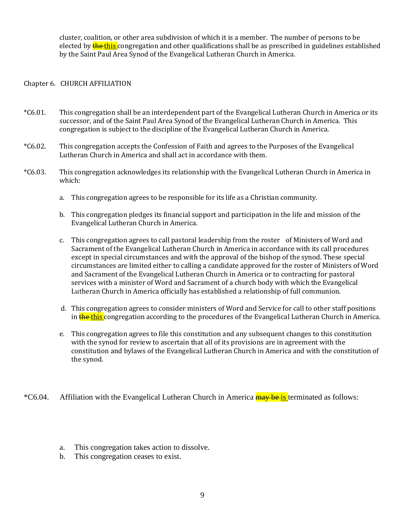cluster, coalition, or other area subdivision of which it is a member. The number of persons to be elected by the this congregation and other qualifications shall be as prescribed in guidelines established by the Saint Paul Area Synod of the Evangelical Lutheran Church in America.

## <span id="page-8-0"></span>Chapter 6. CHURCH AFFILIATION

- \*C6.01. This congregation shall be an interdependent part of the Evangelical Lutheran Church in America or its successor, and of the Saint Paul Area Synod of the Evangelical Lutheran Church in America. This congregation is subject to the discipline of the Evangelical Lutheran Church in America.
- \*C6.02. This congregation accepts the Confession of Faith and agrees to the Purposes of the Evangelical Lutheran Church in America and shall act in accordance with them.
- \*C6.03. This congregation acknowledges its relationship with the Evangelical Lutheran Church in America in which:
	- a. This congregation agrees to be responsible for its life as a Christian community.
	- b. This congregation pledges its financial support and participation in the life and mission of the Evangelical Lutheran Church in America.
	- c. This congregation agrees to call pastoral leadership from the roster of Ministers of Word and Sacrament of the Evangelical Lutheran Church in America in accordance with its call procedures except in special circumstances and with the approval of the bishop of the synod. These special circumstances are limited either to calling a candidate approved for the roster of Ministers of Word and Sacrament of the Evangelical Lutheran Church in America or to contracting for pastoral services with a minister of Word and Sacrament of a church body with which the Evangelical Lutheran Church in America officially has established a relationship of full communion.
	- d. This congregation agrees to consider ministers of Word and Service for call to other staff positions in the this congregation according to the procedures of the Evangelical Lutheran Church in America.
	- e. This congregation agrees to file this constitution and any subsequent changes to this constitution with the synod for review to ascertain that all of its provisions are in agreement with the constitution and bylaws of the Evangelical Lutheran Church in America and with the constitution of the synod.

\*C6.04. Affiliation with the Evangelical Lutheran Church in America **may be is terminated as follows:** 

- a. This congregation takes action to dissolve.
- b. This congregation ceases to exist.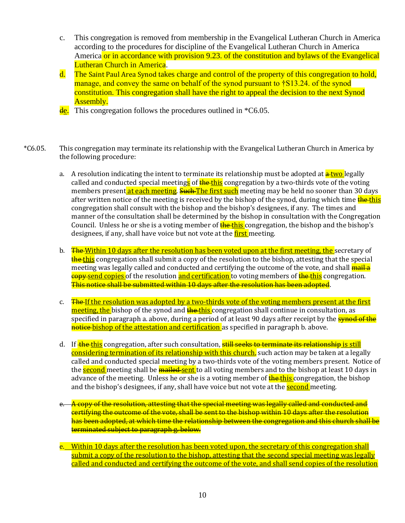- c. This congregation is removed from membership in the Evangelical Lutheran Church in America according to the procedures for discipline of the Evangelical Lutheran Church in America America or in accordance with provision 9.23, of the constitution and bylaws of the Evangelical Lutheran Church in America.
- d. The Saint Paul Area Synod takes charge and control of the property of this congregation to hold, manage, and convey the same on behalf of the synod pursuant to †S13.24. of the synod constitution. This congregation shall have the right to appeal the decision to the next Synod Assembly.
- $\frac{de}{de}$ . This congregation follows the procedures outlined in  $*C6.05$ .
- \*C6.05. This congregation may terminate its relationship with the Evangelical Lutheran Church in America by the following procedure:
	- a. A resolution indicating the intent to terminate its relationship must be adopted at  $\frac{1}{r}$  egally called and conducted special meeting<mark>s</mark> of the this congregation by a two-thirds vote of the voting members present at each meeting. Such The first such meeting may be held no sooner than 30 days after written notice of the meeting is received by the bishop of the synod, during which time **the this** congregation shall consult with the bishop and the bishop's designees, if any. The times and manner of the consultation shall be determined by the bishop in consultation with the Congregation Council. Unless he or she is a voting member of **the-this** congregation, the bishop and the bishop's designees, if any, shall have voice but not vote at the *first* meeting.
	- b. The Within 10 days after the resolution has been voted upon at the first meeting, the secretary of the this congregation shall submit a copy of the resolution to the bishop, attesting that the special meeting was legally called and conducted and certifying the outcome of the vote, and shall **mail a** copy send copies of the resolution and certification to voting members of the this congregation. This notice shall be submitted within 10 days after the resolution has been adopted.
	- c. The If the resolution was adopted by a two-thirds vote of the voting members present at the first meeting, the bishop of the synod and the this congregation shall continue in consultation, as specified in paragraph a. above, during a period of at least 90 days after receipt by the **synod of the** notice bishop of the attestation and certification as specified in paragraph b. above.
	- d. If the this congregation, after such consultation, still seeks to terminate its relationship is still considering termination of its relationship with this church, such action may be taken at a legally called and conducted special meeting by a two-thirds vote of the voting members present. Notice of the second meeting shall be mailed sent to all voting members and to the bishop at least 10 days in advance of the meeting. Unless he or she is a voting member of **the this** congregation, the bishop and the bishop's designees, if any, shall have voice but not vote at the **second** meeting.
	- e. A copy of the resolution, attesting that the special meeting was legally called and conducted and certifying the outcome of the vote, shall be sent to the bishop within 10 days after the resolution has been adopted, at which time the relationship between the congregation and this church shall be terminated subject to paragraph g. below.
	- e. Within 10 days after the resolution has been voted upon, the secretary of this congregation shall submit a copy of the resolution to the bishop, attesting that the second special meeting was legally called and conducted and certifying the outcome of the vote, and shall send copies of the resolution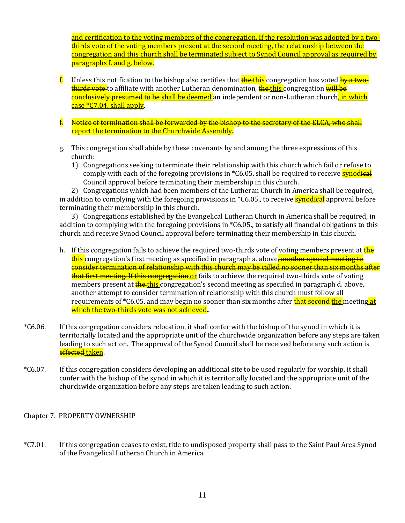and certification to the voting members of the congregation. If the resolution was adopted by a twothirds vote of the voting members present at the second meeting, the relationship between the congregation and this church shall be terminated subject to Synod Council approval as required by paragraphs f. and g. below.

- f. Unless this notification to the bishop also certifies that the this congregation has voted by a twothirds vote to affiliate with another Lutheran denomination, the this congregation will be conclusively presumed to be shall be deemed an independent or non-Lutheran church, in which case \*C7.04. shall apply.
- f. Notice of termination shall be forwarded by the bishop to the secretary of the ELCA, who shall report the termination to the Churchwide Assembly.
- g. This congregation shall abide by these covenants by and among the three expressions of this church:
	- 1). Congregations seeking to terminate their relationship with this church which fail or refuse to comply with each of the foregoing provisions in \*C6.05. shall be required to receive **synodical** Council approval before terminating their membership in this church.

2) Congregations which had been members of the Lutheran Church in America shall be required, in addition to complying with the foregoing provisions in \*C6.05., to receive **synodical** approval before terminating their membership in this church.

3) Congregations established by the Evangelical Lutheran Church in America shall be required, in addition to complying with the foregoing provisions in \*C6.05., to satisfy all financial obligations to this church and receive Synod Council approval before terminating their membership in this church.

- h. If this congregation fails to achieve the required two-thirds vote of voting members present at the this congregation's first meeting as specified in paragraph a. above<del>, another special meeting to</del> consider termination of relationship with this church may be called no sooner than six months after that first meeting. If this congregation or fails to achieve the required two-thirds vote of voting members present at **the this** congregation's second meeting as specified in paragraph d. above, another attempt to consider termination of relationship with this church must follow all requirements of \*C6.05. and may begin no sooner than six months after **that second the** meeting at which the two-thirds vote was not achieved..
- \*C6.06. If this congregation considers relocation, it shall confer with the bishop of the synod in which it is territorially located and the appropriate unit of the churchwide organization before any steps are taken leading to such action. The approval of the Synod Council shall be received before any such action is effected taken.
- \*C6.07. If this congregation considers developing an additional site to be used regularly for worship, it shall confer with the bishop of the synod in which it is territorially located and the appropriate unit of the churchwide organization before any steps are taken leading to such action.

<span id="page-10-0"></span>Chapter 7. PROPERTY OWNERSHIP

\*C7.01. If this congregation ceases to exist, title to undisposed property shall pass to the Saint Paul Area Synod of the Evangelical Lutheran Church in America.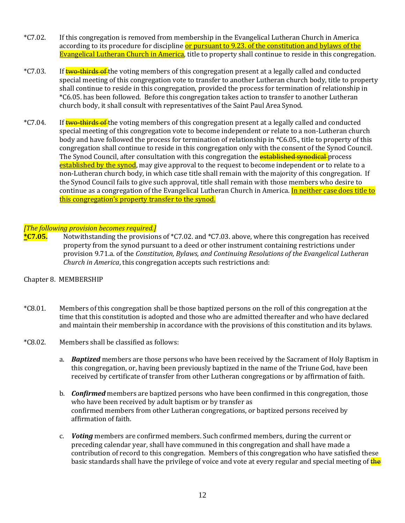- \*C7.02. If this congregation is removed from membership in the Evangelical Lutheran Church in America according to its procedure for discipline or pursuant to 9.23. of the constitution and bylaws of the Evangelical Lutheran Church in America</u>, title to property shall continue to reside in this congregation.
- \*C7.03. If two-thirds of the voting members of this congregation present at a legally called and conducted special meeting of this congregation vote to transfer to another Lutheran church body, title to property shall continue to reside in this congregation, provided the process for termination of relationship in \*C6.05. has been followed. Before this congregation takes action to transfer to another Lutheran church body, it shall consult with representatives of the Saint Paul Area Synod.
- \*C7.04. If two-thirds of the voting members of this congregation present at a legally called and conducted special meeting of this congregation vote to become independent or relate to a non-Lutheran church body and have followed the process for termination of relationship in \*C6.05., title to property of this congregation shall continue to reside in this congregation only with the consent of the Synod Council. The Synod Council, after consultation with this congregation the **established synodical** process established by the synod, may give approval to the request to become independent or to relate to a non-Lutheran church body, in which case title shall remain with the majority of this congregation. If the Synod Council fails to give such approval, title shall remain with those members who desire to continue as a congregation of the Evangelical Lutheran Church in America. In neither case does title to this congregation's property transfer to the synod.

#### *[The following provision becomes required.]*

**\*C7.05.** Notwithstanding the provisions of \*C7.02. and \*C7.03. above, where this congregation has received property from the synod pursuant to a deed or other instrument containing restrictions under provision 9.71.a. of the *Constitution, Bylaws, and Continuing Resolutions of the Evangelical Lutheran Church in America*, this congregation accepts such restrictions and:

## <span id="page-11-0"></span>Chapter 8. MEMBERSHIP

- \*C8.01. Members of this congregation shall be those baptized persons on the roll of this congregation at the time that this constitution is adopted and those who are admitted thereafter and who have declared and maintain their membership in accordance with the provisions of this constitution and its bylaws.
- \*C8.02. Members shall be classified as follows:
	- a. *Baptized* members are those persons who have been received by the Sacrament of Holy Baptism in this congregation, or, having been previously baptized in the name of the Triune God, have been received by certificate of transfer from other Lutheran congregations or by affirmation of faith.
	- b. *Confirmed* members are baptized persons who have been confirmed in this congregation, those who have been received by adult baptism or by transfer as confirmed members from other Lutheran congregations, or baptized persons received by affirmation of faith.
	- c. *Voting* members are confirmed members. Such confirmed members, during the current or preceding calendar year, shall have communed in this congregation and shall have made a contribution of record to this congregation. Members of this congregation who have satisfied these basic standards shall have the privilege of voice and vote at every regular and special meeting of **the**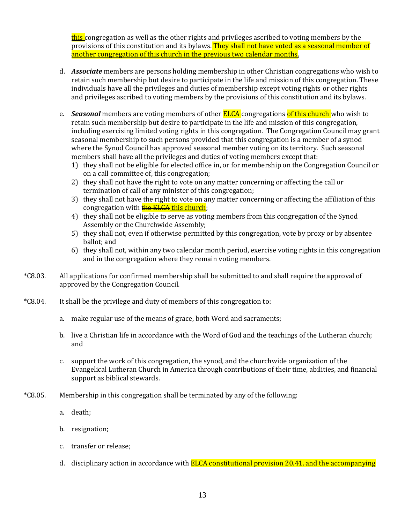this congregation as well as the other rights and privileges ascribed to voting members by the provisions of this constitution and its bylaws. They shall not have voted as a seasonal member of another congregation of this church in the previous two calendar months.

- d. *Associate* members are persons holding membership in other Christian congregations who wish to retain such membership but desire to participate in the life and mission of this congregation. These individuals have all the privileges and duties of membership except voting rights or other rights and privileges ascribed to voting members by the provisions of this constitution and its bylaws.
- e. *Seasonal* members are voting members of other **ELCA** congregations of this church who wish to retain such membership but desire to participate in the life and mission of this congregation, including exercising limited voting rights in this congregation. The Congregation Council may grant seasonal membership to such persons provided that this congregation is a member of a synod where the Synod Council has approved seasonal member voting on its territory. Such seasonal members shall have all the privileges and duties of voting members except that:
	- 1) they shall not be eligible for elected office in, or for membership on the Congregation Council or on a call committee of, this congregation;
	- 2) they shall not have the right to vote on any matter concerning or affecting the call or termination of call of any minister of this congregation;
	- 3) they shall not have the right to vote on any matter concerning or affecting the affiliation of this congregation with **the ELCA this church**;
	- 4) they shall not be eligible to serve as voting members from this congregation of the Synod Assembly or the Churchwide Assembly;
	- 5) they shall not, even if otherwise permitted by this congregation, vote by proxy or by absentee ballot; and
	- 6) they shall not, within any two calendar month period, exercise voting rights in this congregation and in the congregation where they remain voting members.
- \*C8.03. All applications for confirmed membership shall be submitted to and shall require the approval of approved by the Congregation Council.
- \*C8.04. It shall be the privilege and duty of members of this congregation to:
	- a. make regular use of the means of grace, both Word and sacraments;
	- b. live a Christian life in accordance with the Word of God and the teachings of the Lutheran church; and
	- c. support the work of this congregation, the synod, and the churchwide organization of the Evangelical Lutheran Church in America through contributions of their time, abilities, and financial support as biblical stewards.
- \*C8.05. Membership in this congregation shall be terminated by any of the following:
	- a. death;
	- b. resignation;
	- c. transfer or release;
	- d. disciplinary action in accordance with **ELCA constitutional provision 20.41, and the accompanying**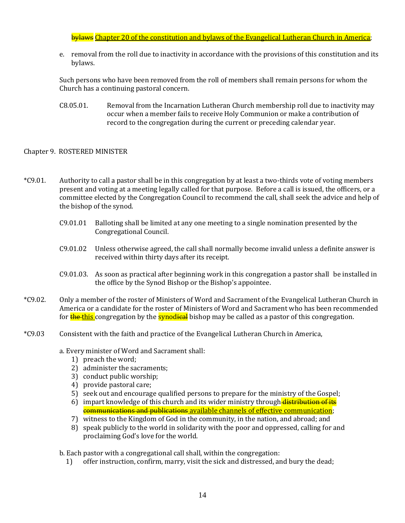## bylaws Chapter 20 of the constitution and bylaws of the Evangelical Lutheran Church in America;

e. removal from the roll due to inactivity in accordance with the provisions of this constitution and its bylaws.

Such persons who have been removed from the roll of members shall remain persons for whom the Church has a continuing pastoral concern.

C8.05.01. Removal from the Incarnation Lutheran Church membership roll due to inactivity may occur when a member fails to receive Holy Communion or make a contribution of record to the congregation during the current or preceding calendar year.

#### <span id="page-13-0"></span>Chapter 9. ROSTERED MINISTER

- \*C9.01. Authority to call a pastor shall be in this congregation by at least a two-thirds vote of voting members present and voting at a meeting legally called for that purpose. Before a call is issued, the officers, or a committee elected by the Congregation Council to recommend the call, shall seek the advice and help of the bishop of the synod.
	- C9.01.01 Balloting shall be limited at any one meeting to a single nomination presented by the Congregational Council.
	- C9.01.02 Unless otherwise agreed, the call shall normally become invalid unless a definite answer is received within thirty days after its receipt.
	- C9.01.03. As soon as practical after beginning work in this congregation a pastor shall be installed in the office by the Synod Bishop or the Bishop's appointee.
- \*C9.02. Only a member of the roster of Ministers of Word and Sacrament of the Evangelical Lutheran Church in America or a candidate for the roster of Ministers of Word and Sacrament who has been recommended for the this congregation by the synodical bishop may be called as a pastor of this congregation.
- \*C9.03 Consistent with the faith and practice of the Evangelical Lutheran Church in America,

a. Every minister of Word and Sacrament shall:

- 1) preach the word;
- 2) administer the sacraments;
- 3) conduct public worship;
- 4) provide pastoral care;
- 5) seek out and encourage qualified persons to prepare for the ministry of the Gospel;
- 6) impart knowledge of this church and its wider ministry through distribution of its communications and publications available channels of effective communication;
- 7) witness to the Kingdom of God in the community, in the nation, and abroad; and
- 8) speak publicly to the world in solidarity with the poor and oppressed, calling for and proclaiming God's love for the world.

b. Each pastor with a congregational call shall, within the congregation:

1) offer instruction, confirm, marry, visit the sick and distressed, and bury the dead;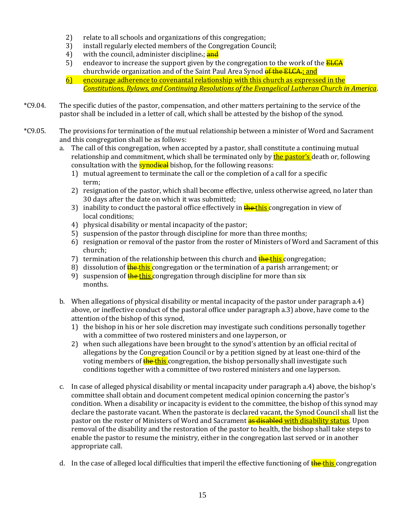- 2) relate to all schools and organizations of this congregation;
- 3) install regularly elected members of the Congregation Council;
- 4) with the council, administer discipline.; and
- 5) endeavor to increase the support given by the congregation to the work of the  $E_{\text{LCA}}$ churchwide organization and of the Saint Paul Area Synod of the ELCA.; and
- 6) encourage adherence to covenantal relationship with this church as expressed in the *Constitutions, Bylaws, and Continuing Resolutions of the Evangelical Lutheran Church in America*.
- \*C9.04. The specific duties of the pastor, compensation, and other matters pertaining to the service of the pastor shall be included in a letter of call, which shall be attested by the bishop of the synod.
- \*C9.05. The provisions for termination of the mutual relationship between a minister of Word and Sacrament and this congregation shall be as follows:
	- a. The call of this congregation, when accepted by a pastor, shall constitute a continuing mutual relationship and commitment, which shall be terminated only by the pastor's death or, following consultation with the **synod<del>ical</del>** bishop, for the following reasons:
		- 1) mutual agreement to terminate the call or the completion of a call for a specific term;
		- 2) resignation of the pastor, which shall become effective, unless otherwise agreed, no later than 30 days after the date on which it was submitted;
		- 3) inability to conduct the pastoral office effectively in **the this** congregation in view of local conditions;
		- 4) physical disability or mental incapacity of the pastor;
		- 5) suspension of the pastor through discipline for more than three months;
		- 6) resignation or removal of the pastor from the roster of Ministers of Word and Sacrament of this church;
		- 7) termination of the relationship between this church and the this congregation;
		- 8) dissolution of  $\frac{f}{f}$  the this congregation or the termination of a parish arrangement; or
		- 9) suspension of **the this** congregation through discipline for more than six months.
	- b. When allegations of physical disability or mental incapacity of the pastor under paragraph a.4) above, or ineffective conduct of the pastoral office under paragraph a.3) above, have come to the attention of the bishop of this synod,
		- 1) the bishop in his or her sole discretion may investigate such conditions personally together with a committee of two rostered ministers and one layperson, or
		- 2) when such allegations have been brought to the synod's attention by an official recital of allegations by the Congregation Council or by a petition signed by at least one-third of the voting members of the this congregation, the bishop personally shall investigate such conditions together with a committee of two rostered ministers and one layperson.
	- c. In case of alleged physical disability or mental incapacity under paragraph a.4) above, the bishop's committee shall obtain and document competent medical opinion concerning the pastor's condition. When a disability or incapacity is evident to the committee, the bishop of this synod may declare the pastorate vacant. When the pastorate is declared vacant, the Synod Council shall list the pastor on the roster of Ministers of Word and Sacrament as disabled with disability status. Upon removal of the disability and the restoration of the pastor to health, the bishop shall take steps to enable the pastor to resume the ministry, either in the congregation last served or in another appropriate call.
	- d. In the case of alleged local difficulties that imperil the effective functioning of  $\frac{f}{f}$  the this congregation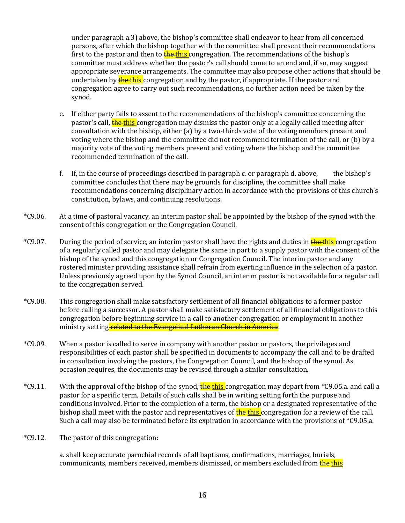under paragraph a.3) above, the bishop's committee shall endeavor to hear from all concerned persons, after which the bishop together with the committee shall present their recommendations first to the pastor and then to **the this** congregation. The recommendations of the bishop's committee must address whether the pastor's call should come to an end and, if so, may suggest appropriate severance arrangements. The committee may also propose other actions that should be undertaken by **the this** congregation and by the pastor, if appropriate. If the pastor and congregation agree to carry out such recommendations, no further action need be taken by the synod.

- e. If either party fails to assent to the recommendations of the bishop's committee concerning the pastor's call, the this congregation may dismiss the pastor only at a legally called meeting after consultation with the bishop, either (a) by a two-thirds vote of the voting members present and voting where the bishop and the committee did not recommend termination of the call, or (b) by a majority vote of the voting members present and voting where the bishop and the committee recommended termination of the call.
- f. If, in the course of proceedings described in paragraph c. or paragraph d. above, the bishop's committee concludes that there may be grounds for discipline, the committee shall make recommendations concerning disciplinary action in accordance with the provisions of this church's constitution, bylaws, and continuing resolutions.
- \*C9.06. At a time of pastoral vacancy, an interim pastor shall be appointed by the bishop of the synod with the consent of this congregation or the Congregation Council.
- \*C9.07. During the period of service, an interim pastor shall have the rights and duties in **the this** congregation of a regularly called pastor and may delegate the same in part to a supply pastor with the consent of the bishop of the synod and this congregation or Congregation Council. The interim pastor and any rostered minister providing assistance shall refrain from exerting influence in the selection of a pastor. Unless previously agreed upon by the Synod Council, an interim pastor is not available for a regular call to the congregation served.
- \*C9.08. This congregation shall make satisfactory settlement of all financial obligations to a former pastor before calling a successor. A pastor shall make satisfactory settlement of all financial obligations to this congregation before beginning service in a call to another congregation or employment in another ministry setting related to the Evangelical Lutheran Church in America.
- \*C9.09. When a pastor is called to serve in company with another pastor or pastors, the privileges and responsibilities of each pastor shall be specified in documents to accompany the call and to be drafted in consultation involving the pastors, the Congregation Council, and the bishop of the synod. As occasion requires, the documents may be revised through a similar consultation.
- \*C9.11. With the approval of the bishop of the synod, the this congregation may depart from \*C9.05.a. and call a pastor for a specific term. Details of such calls shall be in writing setting forth the purpose and conditions involved. Prior to the completion of a term, the bishop or a designated representative of the bishop shall meet with the pastor and representatives of **the this** congregation for a review of the call. Such a call may also be terminated before its expiration in accordance with the provisions of \*C9.05.a.
- \*C9.12. The pastor of this congregation:

a. shall keep accurate parochial records of all baptisms, confirmations, marriages, burials, communicants, members received, members dismissed, or members excluded from the this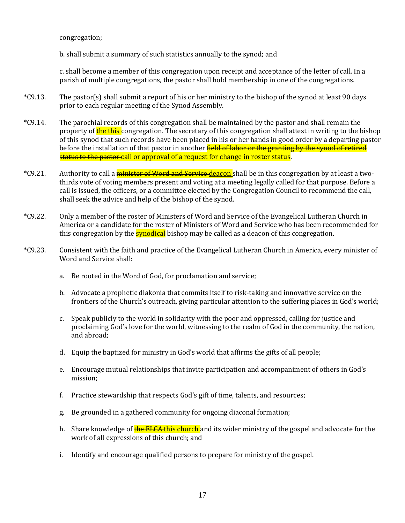congregation;

b. shall submit a summary of such statistics annually to the synod; and

c. shall become a member of this congregation upon receipt and acceptance of the letter of call. In a parish of multiple congregations, the pastor shall hold membership in one of the congregations.

- \*C9.13. The pastor(s) shall submit a report of his or her ministry to the bishop of the synod at least 90 days prior to each regular meeting of the Synod Assembly.
- \*C9.14. The parochial records of this congregation shall be maintained by the pastor and shall remain the property of **the this** congregation. The secretary of this congregation shall attest in writing to the bishop of this synod that such records have been placed in his or her hands in good order by a departing pastor before the installation of that pastor in another **field of labor or the granting by the synod of retired** status to the pastor-call or approval of a request for change in roster status.
- \*C9.21. Authority to call a *minister of Word and Service deacon* shall be in this congregation by at least a twothirds vote of voting members present and voting at a meeting legally called for that purpose. Before a call is issued, the officers, or a committee elected by the Congregation Council to recommend the call, shall seek the advice and help of the bishop of the synod.
- \*C9.22. Only a member of the roster of Ministers of Word and Service of the Evangelical Lutheran Church in America or a candidate for the roster of Ministers of Word and Service who has been recommended for this congregation by the **synodical** bishop may be called as a deacon of this congregation.
- \*C9.23. Consistent with the faith and practice of the Evangelical Lutheran Church in America, every minister of Word and Service shall:
	- a. Be rooted in the Word of God, for proclamation and service;
	- b. Advocate a prophetic diakonia that commits itself to risk-taking and innovative service on the frontiers of the Church's outreach, giving particular attention to the suffering places in God's world;
	- c. Speak publicly to the world in solidarity with the poor and oppressed, calling for justice and proclaiming God's love for the world, witnessing to the realm of God in the community, the nation, and abroad;
	- d. Equip the baptized for ministry in God's world that affirms the gifts of all people;
	- e. Encourage mutual relationships that invite participation and accompaniment of others in God's mission;
	- f. Practice stewardship that respects God's gift of time, talents, and resources;
	- g. Be grounded in a gathered community for ongoing diaconal formation;
	- h. Share knowledge of the ELCA this church and its wider ministry of the gospel and advocate for the work of all expressions of this church; and
	- i. Identify and encourage qualified persons to prepare for ministry of the gospel.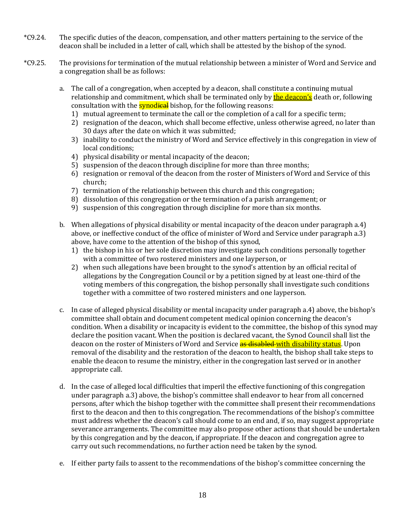- \*C9.24. The specific duties of the deacon, compensation, and other matters pertaining to the service of the deacon shall be included in a letter of call, which shall be attested by the bishop of the synod.
- \*C9.25. The provisions for termination of the mutual relationship between a minister of Word and Service and a congregation shall be as follows:
	- a. The call of a congregation, when accepted by a deacon, shall constitute a continuing mutual relationship and commitment, which shall be terminated only by **the deacon's** death or, following consultation with the **synodieal** bishop, for the following reasons:
		- 1) mutual agreement to terminate the call or the completion of a call for a specific term;
		- 2) resignation of the deacon, which shall become effective, unless otherwise agreed, no later than 30 days after the date on which it was submitted;
		- 3) inability to conduct the ministry of Word and Service effectively in this congregation in view of local conditions;
		- 4) physical disability or mental incapacity of the deacon;
		- 5) suspension of the deacon through discipline for more than three months;
		- 6) resignation or removal of the deacon from the roster of Ministers of Word and Service of this church;
		- 7) termination of the relationship between this church and this congregation;
		- 8) dissolution of this congregation or the termination of a parish arrangement; or
		- 9) suspension of this congregation through discipline for more than six months.
	- b. When allegations of physical disability or mental incapacity of the deacon under paragraph a.4) above, or ineffective conduct of the office of minister of Word and Service under paragraph a.3) above, have come to the attention of the bishop of this synod,
		- 1) the bishop in his or her sole discretion may investigate such conditions personally together with a committee of two rostered ministers and one layperson, or
		- 2) when such allegations have been brought to the synod's attention by an official recital of allegations by the Congregation Council or by a petition signed by at least one-third of the voting members of this congregation, the bishop personally shall investigate such conditions together with a committee of two rostered ministers and one layperson.
	- c. In case of alleged physical disability or mental incapacity under paragraph a.4) above, the bishop's committee shall obtain and document competent medical opinion concerning the deacon's condition. When a disability or incapacity is evident to the committee, the bishop of this synod may declare the position vacant. When the position is declared vacant, the Synod Council shall list the deacon on the roster of Ministers of Word and Service as disabled with disability status. Upon removal of the disability and the restoration of the deacon to health, the bishop shall take steps to enable the deacon to resume the ministry, either in the congregation last served or in another appropriate call.
	- d. In the case of alleged local difficulties that imperil the effective functioning of this congregation under paragraph a.3) above, the bishop's committee shall endeavor to hear from all concerned persons, after which the bishop together with the committee shall present their recommendations first to the deacon and then to this congregation. The recommendations of the bishop's committee must address whether the deacon's call should come to an end and, if so, may suggest appropriate severance arrangements. The committee may also propose other actions that should be undertaken by this congregation and by the deacon, if appropriate. If the deacon and congregation agree to carry out such recommendations, no further action need be taken by the synod.
	- e. If either party fails to assent to the recommendations of the bishop's committee concerning the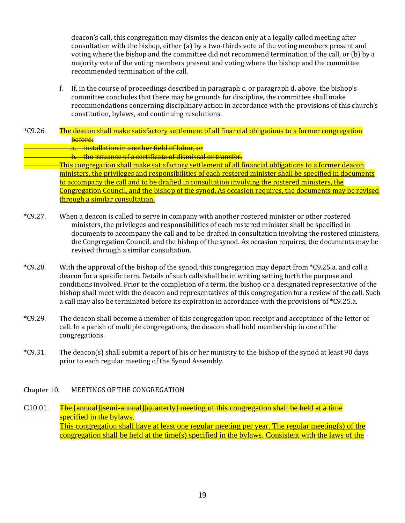deacon's call, this congregation may dismiss the deacon only at a legally called meeting after consultation with the bishop, either (a) by a two-thirds vote of the voting members present and voting where the bishop and the committee did not recommend termination of the call, or (b) by a majority vote of the voting members present and voting where the bishop and the committee recommended termination of the call.

- f. If, in the course of proceedings described in paragraph c. or paragraph d. above, the bishop's committee concludes that there may be grounds for discipline, the committee shall make recommendations concerning disciplinary action in accordance with the provisions of this church's constitution, bylaws, and continuing resolutions.
- \*C9.26. The deacon shall make satisfactory settlement of all financial obligations to a former congregation before:
	- a. installation in another field of labor, or
	- b. the issuance of a certificate of dismissal or transfer.
	- This congregation shall make satisfactory settlement of all financial obligations to a former deacon ministers, the privileges and responsibilities of each rostered minister shall be specified in documents to accompany the call and to be drafted in consultation involving the rostered ministers, the Congregation Council, and the bishop of the synod. As occasion requires, the documents may be revised through a similar consultation.
- \*C9.27. When a deacon is called to serve in company with another rostered minister or other rostered ministers, the privileges and responsibilities of each rostered minister shall be specified in documents to accompany the call and to be drafted in consultation involving the rostered ministers, the Congregation Council, and the bishop of the synod. As occasion requires, the documents may be revised through a similar consultation.
- \*C9.28. With the approval of the bishop of the synod, this congregation may depart from \*C9.25.a. and call a deacon for a specific term. Details of such calls shall be in writing setting forth the purpose and conditions involved. Prior to the completion of a term, the bishop or a designated representative of the bishop shall meet with the deacon and representatives of this congregation for a review of the call. Such a call may also be terminated before its expiration in accordance with the provisions of \*C9.25.a.
- \*C9.29. The deacon shall become a member of this congregation upon receipt and acceptance of the letter of call. In a parish of multiple congregations, the deacon shall hold membership in one of the congregations.
- <span id="page-18-0"></span>\*C9.31. The deacon(s) shall submit a report of his or her ministry to the bishop of the synod at least 90 days prior to each regular meeting of the Synod Assembly.

## Chapter 10. MEETINGS OF THE CONGREGATION

C10.01. The [annual][semi-annual][quarterly] meeting of this congregation shall be held at a time specified in the bylaws. This congregation shall have at least one regular meeting per year. The regular meeting(s) of the congregation shall be held at the time(s) specified in the bylaws. Consistent with the laws of the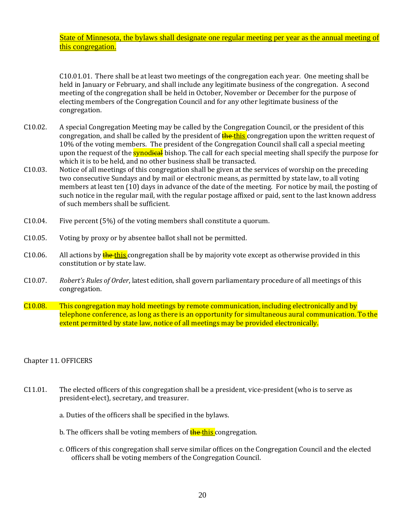State of Minnesota, the bylaws shall designate one regular meeting per year as the annual meeting of this congregation.

C10.01.01. There shall be at least two meetings of the congregation each year. One meeting shall be held in January or February, and shall include any legitimate business of the congregation. A second meeting of the congregation shall be held in October, November or December for the purpose of electing members of the Congregation Council and for any other legitimate business of the congregation.

- C10.02. A special Congregation Meeting may be called by the Congregation Council, or the president of this congregation, and shall be called by the president of **the this** congregation upon the written request of 10% of the voting members. The president of the Congregation Council shall call a special meeting upon the request of the **synodical** bishop. The call for each special meeting shall specify the purpose for which it is to be held, and no other business shall be transacted.
- C10.03. Notice of all meetings of this congregation shall be given at the services of worship on the preceding two consecutive Sundays and by mail or electronic means, as permitted by state law, to all voting members at least ten (10) days in advance of the date of the meeting. For notice by mail, the posting of such notice in the regular mail, with the regular postage affixed or paid, sent to the last known address of such members shall be sufficient.
- C10.04. Five percent (5%) of the voting members shall constitute a quorum.
- C10.05. Voting by proxy or by absentee ballot shall not be permitted.
- C10.06. All actions by  $\frac{L}{L}$  the this congregation shall be by majority vote except as otherwise provided in this constitution or by state law.
- C10.07. *Robert's Rules of Order*, latest edition, shall govern parliamentary procedure of all meetings of this congregation.
- <span id="page-19-0"></span>C10.08. This congregation may hold meetings by remote communication, including electronically and by telephone conference, as long as there is an opportunity for simultaneous aural communication. To the extent permitted by state law, notice of all meetings may be provided electronically.

#### Chapter 11. OFFICERS

- C11.01. The elected officers of this congregation shall be a president, vice-president (who is to serve as president-elect), secretary, and treasurer.
	- a. Duties of the officers shall be specified in the bylaws.
	- b. The officers shall be voting members of **the this** congregation.
	- c. Officers of this congregation shall serve similar offices on the Congregation Council and the elected officers shall be voting members of the Congregation Council.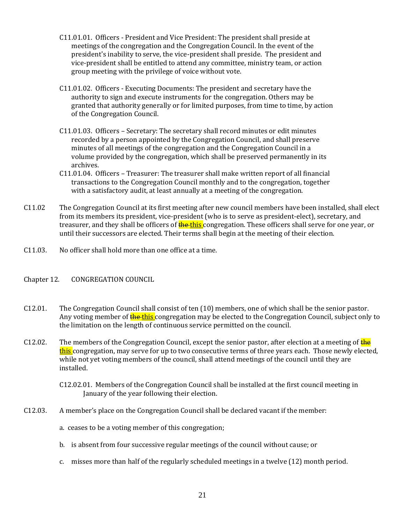- C11.01.01. Officers President and Vice President: The president shall preside at meetings of the congregation and the Congregation Council. In the event of the president's inability to serve, the vice-president shall preside. The president and vice-president shall be entitled to attend any committee, ministry team, or action group meeting with the privilege of voice without vote.
- C11.01.02. Officers Executing Documents: The president and secretary have the authority to sign and execute instruments for the congregation. Others may be granted that authority generally or for limited purposes, from time to time, by action of the Congregation Council.
- C11.01.03. Officers Secretary: The secretary shall record minutes or edit minutes recorded by a person appointed by the Congregation Council, and shall preserve minutes of all meetings of the congregation and the Congregation Council in a volume provided by the congregation, which shall be preserved permanently in its archives.
- C11.01.04. Officers Treasurer: The treasurer shall make written report of all financial transactions to the Congregation Council monthly and to the congregation, together with a satisfactory audit, at least annually at a meeting of the congregation.
- C11.02 The Congregation Council at its first meeting after new council members have been installed, shall elect from its members its president, vice-president (who is to serve as president-elect), secretary, and treasurer, and they shall be officers of **the this** congregation. These officers shall serve for one year, or until their successors are elected. Their terms shall begin at the meeting of their election.
- <span id="page-20-0"></span>C11.03. No officer shall hold more than one office at a time.

# Chapter 12. CONGREGATION COUNCIL

- C12.01. The Congregation Council shall consist of ten (10) members, one of which shall be the senior pastor. Any voting member of the this congregation may be elected to the Congregation Council, subject only to the limitation on the length of continuous service permitted on the council.
- C12.02. The members of the Congregation Council, except the senior pastor, after election at a meeting of  $\frac{1}{2}$ this congregation, may serve for up to two consecutive terms of three years each. Those newly elected, while not yet voting members of the council, shall attend meetings of the council until they are installed.
	- C12.02.01.Members of the Congregation Council shall be installed at the first council meeting in January of the year following their election.
- C12.03. A member's place on the Congregation Council shall be declared vacant if the member:
	- a. ceases to be a voting member of this congregation;
	- b. is absent from four successive regular meetings of the council without cause; or
	- c. misses more than half of the regularly scheduled meetings in a twelve (12) month period.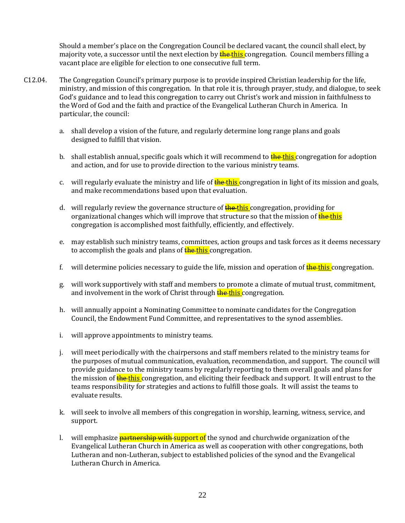Should a member's place on the Congregation Council be declared vacant, the council shall elect, by majority vote, a successor until the next election by **the this** congregation. Council members filling a vacant place are eligible for election to one consecutive full term.

- C12.04. The Congregation Council's primary purpose is to provide inspired Christian leadership for the life, ministry, and mission of this congregation. In that role it is, through prayer, study, and dialogue, to seek God's guidance and to lead this congregation to carry out Christ's work and mission in faithfulness to the Word of God and the faith and practice of the Evangelical Lutheran Church in America. In particular, the council:
	- a. shall develop a vision of the future, and regularly determine long range plans and goals designed to fulfill that vision.
	- b. shall establish annual, specific goals which it will recommend to **the this** congregation for adoption and action, and for use to provide direction to the various ministry teams.
	- c. will regularly evaluate the ministry and life of **the this** congregation in light of its mission and goals, and make recommendations based upon that evaluation.
	- d. will regularly review the governance structure of **the this** congregation, providing for organizational changes which will improve that structure so that the mission of **the this** congregation is accomplished most faithfully, efficiently, and effectively.
	- e. may establish such ministry teams, committees, action groups and task forces as it deems necessary to accomplish the goals and plans of **the this** congregation.
	- f. will determine policies necessary to guide the life, mission and operation of **the this** congregation.
	- g. will work supportively with staff and members to promote a climate of mutual trust, commitment, and involvement in the work of Christ through **the this** congregation.
	- h. will annually appoint a Nominating Committee to nominate candidates for the Congregation Council, the Endowment Fund Committee, and representatives to the synod assemblies.
	- i. will approve appointments to ministry teams.
	- j. will meet periodically with the chairpersons and staff members related to the ministry teams for the purposes of mutual communication, evaluation, recommendation, and support. The council will provide guidance to the ministry teams by regularly reporting to them overall goals and plans for the mission of **the this** congregation, and eliciting their feedback and support. It will entrust to the teams responsibility for strategies and actions to fulfill those goals. It will assist the teams to evaluate results.
	- k. will seek to involve all members of this congregation in worship, learning, witness, service, and support.
	- l. will emphasize **partnership with support of** the synod and churchwide organization of the Evangelical Lutheran Church in America as well as cooperation with other congregations, both Lutheran and non-Lutheran, subject to established policies of the synod and the Evangelical Lutheran Church in America.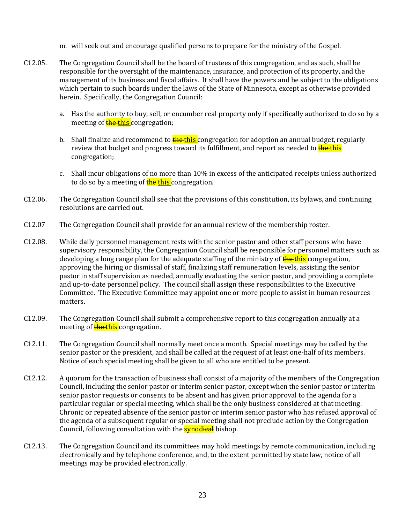- m. will seek out and encourage qualified persons to prepare for the ministry of the Gospel.
- C12.05. The Congregation Council shall be the board of trustees of this congregation, and as such, shall be responsible for the oversight of the maintenance, insurance, and protection of its property, and the management of its business and fiscal affairs. It shall have the powers and be subject to the obligations which pertain to such boards under the laws of the State of Minnesota, except as otherwise provided herein. Specifically, the Congregation Council:
	- a. Has the authority to buy, sell, or encumber real property only if specifically authorized to do so by a meeting of **the this** congregation;
	- b. Shall finalize and recommend to **the this** congregation for adoption an annual budget, regularly review that budget and progress toward its fulfillment, and report as needed to **the this** congregation;
	- c. Shall incur obligations of no more than 10% in excess of the anticipated receipts unless authorized to do so by a meeting of **the this** congregation.
- C12.06. The Congregation Council shall see that the provisions of this constitution, its bylaws, and continuing resolutions are carried out.
- C12.07 The Congregation Council shall provide for an annual review of the membership roster.
- C12.08. While daily personnel management rests with the senior pastor and other staff persons who have supervisory responsibility, the Congregation Council shall be responsible for personnel matters such as developing a long range plan for the adequate staffing of the ministry of **the this** congregation, approving the hiring or dismissal of staff, finalizing staff remuneration levels, assisting the senior pastor in staff supervision as needed, annually evaluating the senior pastor, and providing a complete and up-to-date personnel policy. The council shall assign these responsibilities to the Executive Committee. The Executive Committee may appoint one or more people to assist in human resources matters.
- C12.09. The Congregation Council shall submit a comprehensive report to this congregation annually at a meeting of **the this** congregation.
- C12.11. The Congregation Council shall normally meet once a month. Special meetings may be called by the senior pastor or the president, and shall be called at the request of at least one-half of its members. Notice of each special meeting shall be given to all who are entitled to be present.
- C12.12. A quorum for the transaction of business shall consist of a majority of the members of the Congregation Council, including the senior pastor or interim senior pastor, except when the senior pastor or interim senior pastor requests or consents to be absent and has given prior approval to the agenda for a particular regular or special meeting, which shall be the only business considered at that meeting. Chronic or repeated absence of the senior pastor or interim senior pastor who has refused approval of the agenda of a subsequent regular or special meeting shall not preclude action by the Congregation Council, following consultation with the **synodical** bishop.
- C12.13. The Congregation Council and its committees may hold meetings by remote communication, including electronically and by telephone conference, and, to the extent permitted by state law, notice of all meetings may be provided electronically.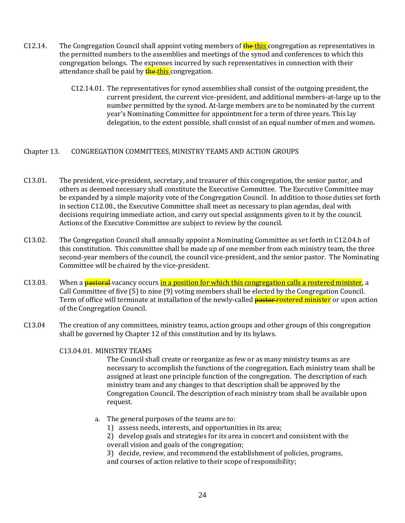- C12.14. The Congregation Council shall appoint voting members of  $\frac{f}{f}$  the this congregation as representatives in the permitted numbers to the assemblies and meetings of the synod and conferences to which this congregation belongs. The expenses incurred by such representatives in connection with their attendance shall be paid by **the this** congregation.
	- C12.14.01. The representatives for synod assemblies shall consist of the outgoing president, the current president, the current vice-president, and additional members-at-large up to the number permitted by the synod. At-large members are to be nominated by the current year's Nominating Committee for appointment for a term of three years. This lay delegation, to the extent possible, shall consist of an equal number of men and women.

#### <span id="page-23-0"></span>Chapter 13. CONGREGATION COMMITTEES, MINISTRY TEAMS AND ACTION GROUPS

- C13.01. The president, vice-president, secretary, and treasurer of this congregation, the senior pastor, and others as deemed necessary shall constitute the Executive Committee. The Executive Committee may be expanded by a simple majority vote of the Congregation Council. In addition to those duties set forth in section C12.08., the Executive Committee shall meet as necessary to plan agendas, deal with decisions requiring immediate action, and carry out special assignments given to it by the council. Actions of the Executive Committee are subject to review by the council.
- C13.02. The Congregation Council shall annually appoint a Nominating Committee as set forth in C12.04.h of this constitution. This committee shall be made up of one member from each ministry team, the three second-year members of the council, the council vice-president, and the senior pastor. The Nominating Committee will be chaired by the vice-president.
- C13.03. When a **pastoral** vacancy occurs in a position for which this congregation calls a rostered minister, a Call Committee of five (5) to nine (9) voting members shall be elected by the Congregation Council. Term of office will terminate at installation of the newly-called **pastor-rostered minister** or upon action of the Congregation Council.
- C13.04 The creation of any committees, ministry teams, action groups and other groups of this congregation shall be governed by Chapter 12 of this constitution and by its bylaws.

#### C13.04.01. MINISTRY TEAMS

The Council shall create or reorganize as few or as many ministry teams as are necessary to accomplish the functions of the congregation. Each ministry team shall be assigned at least one principle function of the congregation. The description of each ministry team and any changes to that description shall be approved by the Congregation Council. The description of each ministry team shall be available upon request.

- a. The general purposes of the teams are to:
	- 1) assess needs, interests, and opportunities in its area;

2) develop goals and strategies for its area in concert and consistent with the overall vision and goals of the congregation;

3) decide, review, and recommend the establishment of policies, programs, and courses of action relative to their scope of responsibility;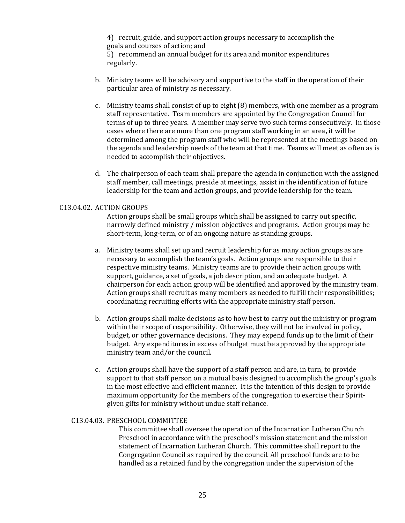4) recruit, guide, and support action groups necessary to accomplish the goals and courses of action; and

5) recommend an annual budget for its area and monitor expenditures regularly.

- b. Ministry teams will be advisory and supportive to the staff in the operation of their particular area of ministry as necessary.
- c. Ministry teams shall consist of up to eight (8) members, with one member as a program staff representative. Team members are appointed by the Congregation Council for terms of up to three years. A member may serve two such terms consecutively. In those cases where there are more than one program staff working in an area**,** it will be determined among the program staff who will be represented at the meetings based on the agenda and leadership needs of the team at that time. Teams will meet as often as is needed to accomplish their objectives.
- d. The chairperson of each team shall prepare the agenda in conjunction with the assigned staff member, call meetings, preside at meetings, assist in the identification of future leadership for the team and action groups, and provide leadership for the team.

#### C13.04.02. ACTION GROUPS

Action groups shall be small groups which shall be assigned to carry out specific, narrowly defined ministry / mission objectives and programs. Action groups may be short-term, long-term, or of an ongoing nature as standing groups.

- a. Ministry teams shall set up and recruit leadership for as many action groups as are necessary to accomplish the team's goals. Action groups are responsible to their respective ministry teams. Ministry teams are to provide their action groups with support, guidance, a set of goals, a job description, and an adequate budget. A chairperson for each action group will be identified and approved by the ministry team. Action groups shall recruit as many members as needed to fulfill their responsibilities; coordinating recruiting efforts with the appropriate ministry staff person.
- b. Action groups shall make decisions as to how best to carry out the ministry or program within their scope of responsibility. Otherwise, they will not be involved in policy, budget, or other governance decisions. They may expend funds up to the limit of their budget. Any expenditures in excess of budget must be approved by the appropriate ministry team and/or the council.
- c. Action groups shall have the support of a staff person and are, in turn, to provide support to that staff person on a mutual basis designed to accomplish the group's goals in the most effective and efficient manner. It is the intention of this design to provide maximum opportunity for the members of the congregation to exercise their Spiritgiven gifts for ministry without undue staff reliance.

#### C13.04.03. PRESCHOOL COMMITTEE

This committee shall oversee the operation of the Incarnation Lutheran Church Preschool in accordance with the preschool's mission statement and the mission statement of Incarnation Lutheran Church. This committee shall report to the Congregation Council as required by the council. All preschool funds are to be handled as a retained fund by the congregation under the supervision of the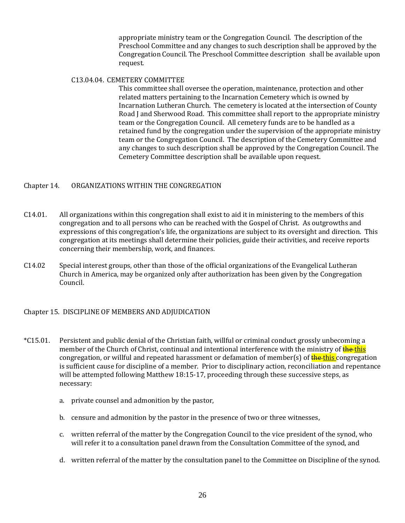appropriate ministry team or the Congregation Council. The description of the Preschool Committee and any changes to such description shall be approved by the Congregation Council. The Preschool Committee description shall be available upon request.

#### C13.04.04. CEMETERY COMMITTEE

This committee shall oversee the operation, maintenance, protection and other related matters pertaining to the Incarnation Cemetery which is owned by Incarnation Lutheran Church. The cemetery is located at the intersection of County Road J and Sherwood Road. This committee shall report to the appropriate ministry team or the Congregation Council. All cemetery funds are to be handled as a retained fund by the congregation under the supervision of the appropriate ministry team or the Congregation Council. The description of the Cemetery Committee and any changes to such description shall be approved by the Congregation Council. The Cemetery Committee description shall be available upon request.

## <span id="page-25-0"></span>Chapter 14. ORGANIZATIONS WITHIN THE CONGREGATION

- C14.01. All organizations within this congregation shall exist to aid it in ministering to the members of this congregation and to all persons who can be reached with the Gospel of Christ. As outgrowths and expressions of this congregation's life, the organizations are subject to its oversight and direction. This congregation at its meetings shall determine their policies, guide their activities, and receive reports concerning their membership, work, and finances.
- C14.02 Special interest groups, other than those of the official organizations of the Evangelical Lutheran Church in America, may be organized only after authorization has been given by the Congregation Council.

<span id="page-25-1"></span>Chapter 15. DISCIPLINE OF MEMBERS AND ADJUDICATION

- \*C15.01. Persistent and public denial of the Christian faith, willful or criminal conduct grossly unbecoming a member of the Church of Christ, continual and intentional interference with the ministry of **the this** congregation, or willful and repeated harassment or defamation of member(s) of **the this** congregation is sufficient cause for discipline of a member. Prior to disciplinary action, reconciliation and repentance will be attempted following Matthew 18:15-17, proceeding through these successive steps, as necessary:
	- a. private counsel and admonition by the pastor,
	- b. censure and admonition by the pastor in the presence of two or three witnesses,
	- c. written referral of the matter by the Congregation Council to the vice president of the synod, who will refer it to a consultation panel drawn from the Consultation Committee of the synod, and
	- d. written referral of the matter by the consultation panel to the Committee on Discipline of the synod.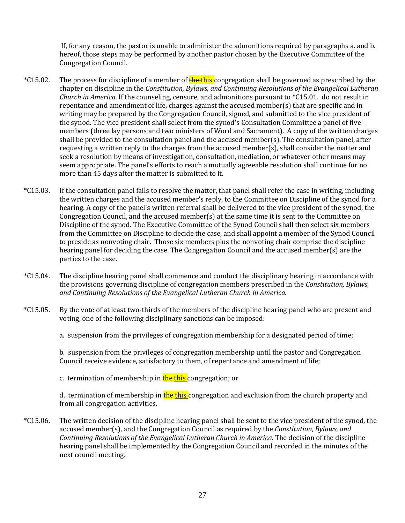If, for any reason, the pastor is unable to administer the admonitions required by paragraphs a. and b. hereof, those steps may be performed by another pastor chosen by the Executive Committee of the Congregation Council.

- \*C15.02. The process for discipline of a member of **the this** congregation shall be governed as prescribed by the chapter on discipline in the *Constitution, Bylaws, and Continuing Resolutions of the Evangelical Lutheran Church in America.* If the counseling, censure, and admonitions pursuant to \*C15.01. do not result in repentance and amendment of life, charges against the accused member(s) that are specific and in writing may be prepared by the Congregation Council, signed, and submitted to the vice president of the synod. The vice president shall select from the synod's Consultation Committee a panel of five members (three lay persons and two ministers of Word and Sacrament). A copy of the written charges shall be provided to the consultation panel and the accused member(s). The consultation panel, after requesting a written reply to the charges from the accused member(s), shall consider the matter and seek a resolution by means of investigation, consultation, mediation, or whatever other means may seem appropriate. The panel's efforts to reach a mutually agreeable resolution shall continue for no more than 45 days after the matter is submitted to it.
- \*C15.03. If the consultation panel fails to resolve the matter, that panel shall refer the case in writing, including the written charges and the accused member's reply, to the Committee on Discipline of the synod for a hearing. A copy of the panel's written referral shall be delivered to the vice president of the synod, the Congregation Council, and the accused member(s) at the same time it is sent to the Committee on Discipline of the synod. The Executive Committee of the Synod Council shall then select six members from the Committee on Discipline to decide the case, and shall appoint a member of the Synod Council to preside as nonvoting chair. Those six members plus the nonvoting chair comprise the discipline hearing panel for deciding the case. The Congregation Council and the accused member(s) are the parties to the case.
- \*C15.04. The discipline hearing panel shall commence and conduct the disciplinary hearing in accordance with the provisions governing discipline of congregation members prescribed in the *Constitution, Bylaws, and Continuing Resolutions of the Evangelical Lutheran Church in America.*
- \*C15.05. By the vote of at least two-thirds of the members of the discipline hearing panel who are present and voting, one of the following disciplinary sanctions can be imposed:
	- a. suspension from the privileges of congregation membership for a designated period of time;

b. suspension from the privileges of congregation membership until the pastor and Congregation Council receive evidence, satisfactory to them, of repentance and amendment of life;

c. termination of membership in **the this** congregation; or

d. termination of membership in **the this** congregation and exclusion from the church property and from all congregation activities.

\*C15.06. The written decision of the discipline hearing panel shall be sent to the vice president of the synod, the accused member(s), and the Congregation Council as required by the *Constitution, Bylaws, and Continuing Resolutions of the Evangelical Lutheran Church in America.* The decision of the discipline hearing panel shall be implemented by the Congregation Council and recorded in the minutes of the next council meeting.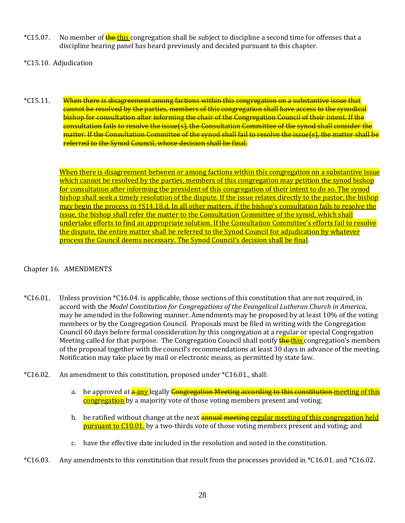- \*C15.07. No member of the this congregation shall be subject to discipline a second time for offenses that a discipline hearing panel has heard previously and decided pursuant to this chapter.
- \*C15.10. Adjudication
- \*C15.11. When there is disagreement among factions within this congregation on a substantive issue that cannot be resolved by the parties, members of this congregation shall have access to the synodical bishop for consultation after informing the chair of the Congregation Council of their intent. If the consultation fails to resolve the issue(s), the Consultation Committee of the synod shall consider the matter. If the Consultation Committee of the synod shall fail to resolve the issue(s), the matter shall be referred to the Synod Council, whose decision shall be final.

When there is disagreement between or among factions within this congregation on a substantive issue which cannot be resolved by the parties, members of this congregation may petition the synod bishop for consultation after informing the president of this congregation of their intent to do so. The synod bishop shall seek a timely resolution of the dispute. If the issue relates directly to the pastor, the bishop may begin the process in †S14.18.d. In all other matters, if the bishop's consultation fails to resolve the issue, the bishop shall refer the matter to the Consultation Committee of the synod, which shall undertake efforts to find an appropriate solution. If the Consultation Committee's efforts fail to resolve the dispute, the entire matter shall be referred to the Synod Council for adjudication by whatever process the Council deems necessary. The Synod Council's decision shall be final.

## <span id="page-27-0"></span>Chapter 16. AMENDMENTS

- \*C16.01. Unless provision \*C16.04. is applicable, those sections of this constitution that are not required, in accord with the *Model Constitution for Congregations of the Evangelical Lutheran Church in America*, may be amended in the following manner. Amendments may be proposed by at least 10% of the voting members or by the Congregation Council. Proposals must be filed in writing with the Congregation Council 60 days before formal consideration by this congregation at a regular or special Congregation Meeting called for that purpose. The Congregation Council shall notify **the this** congregation's members of the proposal together with the council's recommendations at least 30 days in advance of the meeting. Notification may take place by mail or electronic means, as permitted by state law.
- \*C16.02. An amendment to this constitution, proposed under \*C16.01., shall:
	- a. be approved at  $\frac{a}{b}$ any legally  $\frac{c}{c}$  Congregation Meeting according to this constitution meeting of this congregation by a majority vote of those voting members present and voting;
	- b. be ratified without change at the next **annual meeting regular meeting of this congregation held pursuant to C10.01.** by a two-thirds vote of those voting members present and voting; and
	- c. have the effective date included in the resolution and noted in the constitution.
- \*C16.03. Any amendments to this constitution that result from the processes provided in \*C16.01. and \*C16.02.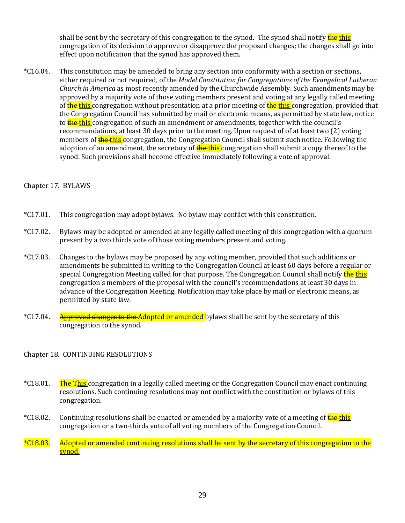shall be sent by the secretary of this congregation to the synod. The synod shall notify the this congregation of its decision to approve or disapprove the proposed changes; the changes shall go into effect upon notification that the synod has approved them.

\*C16.04. This constitution may be amended to bring any section into conformity with a section or sections, either required or not required, of the *Model Constitution for Congregations of the Evangelical Lutheran Church in America* as most recently amended by the Churchwide Assembly. Such amendments may be approved by a majority vote of those voting members present and voting at any legally called meeting of the this congregation without presentation at a prior meeting of the this congregation, provided that the Congregation Council has submitted by mail or electronic means, as permitted by state law, notice to the this congregation of such an amendment or amendments, together with the council's recommendations, at least 30 days prior to the meeting. Upon request of of at least two (2) voting members of **the this** congregation, the Congregation Council shall submit such notice. Following the adoption of an amendment, the secretary of **the this** congregation shall submit a copy thereof to the synod. Such provisions shall become effective immediately following a vote of approval.

## <span id="page-28-0"></span>Chapter 17. BYLAWS

- \*C17.01. This congregation may adopt bylaws. No bylaw may conflict with this constitution.
- \*C17.02. Bylaws may be adopted or amended at any legally called meeting of this congregation with a quorum present by a two thirds vote of those voting members present and voting.
- \*C17.03. Changes to the bylaws may be proposed by any voting member, provided that such additions or amendments be submitted in writing to the Congregation Council at least 60 days before a regular or special Congregation Meeting called for that purpose. The Congregation Council shall notify the this congregation's members of the proposal with the council's recommendations at least 30 days in advance of the Congregation Meeting. Notification may take place by mail or electronic means, as permitted by state law.
- <span id="page-28-1"></span>\*C17.04. Approved changes to the Adopted or amended bylaws shall be sent by the secretary of this congregation to the synod.

# Chapter 18. CONTINUING RESOLUTIONS

- \*C18.01. The This congregation in a legally called meeting or the Congregation Council may enact continuing resolutions. Such continuing resolutions may not conflict with the constitution or bylaws of this congregation.
- \*C18.02. Continuing resolutions shall be enacted or amended by a majority vote of a meeting of **the this** congregation or a two-thirds vote of all voting members of the Congregation Council.
- \*C18.03. Adopted or amended continuing resolutions shall be sent by the secretary of this congregation to the synod.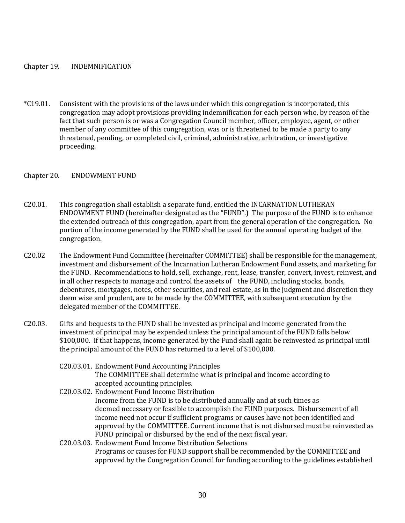#### <span id="page-29-0"></span>Chapter 19. INDEMNIFICATION

\*C19.01. Consistent with the provisions of the laws under which this congregation is incorporated, this congregation may adopt provisions providing indemnification for each person who, by reason of the fact that such person is or was a Congregation Council member, officer, employee, agent, or other member of any committee of this congregation, was or is threatened to be made a party to any threatened, pending, or completed civil, criminal, administrative, arbitration, or investigative proceeding.

#### <span id="page-29-1"></span>Chapter 20. ENDOWMENT FUND

- C20.01. This congregation shall establish a separate fund, entitled the INCARNATION LUTHERAN ENDOWMENT FUND (hereinafter designated as the "FUND".) The purpose of the FUND is to enhance the extended outreach of this congregation, apart from the general operation of the congregation. No portion of the income generated by the FUND shall be used for the annual operating budget of the congregation.
- C20.02 The Endowment Fund Committee (hereinafter COMMITTEE) shall be responsible for the management, investment and disbursement of the Incarnation Lutheran Endowment Fund assets, and marketing for the FUND. Recommendations to hold, sell, exchange, rent, lease, transfer, convert, invest, reinvest, and in all other respects to manage and control the assets of the FUND, including stocks, bonds, debentures, mortgages, notes, other securities, and real estate, as in the judgment and discretion they deem wise and prudent, are to be made by the COMMITTEE, with subsequent execution by the delegated member of the COMMITTEE.
- C20.03. Gifts and bequests to the FUND shall be invested as principal and income generated from the investment of principal may be expended unless the principal amount of the FUND falls below \$100,000. If that happens, income generated by the Fund shall again be reinvested as principal until the principal amount of the FUND has returned to a level of \$100,000.
	- C20.03.01. Endowment Fund Accounting Principles The COMMITTEE shall determine what is principal and income according to accepted accounting principles.
	- C20.03.02. Endowment Fund Income Distribution Income from the FUND is to be distributed annually and at such times as deemed necessary or feasible to accomplish the FUND purposes. Disbursement of all income need not occur if sufficient programs or causes have not been identified and approved by the COMMITTEE. Current income that is not disbursed must be reinvested as FUND principal or disbursed by the end of the next fiscal year.
	- C20.03.03. Endowment Fund Income Distribution Selections Programs or causes for FUND support shall be recommended by the COMMITTEE and approved by the Congregation Council for funding according to the guidelines established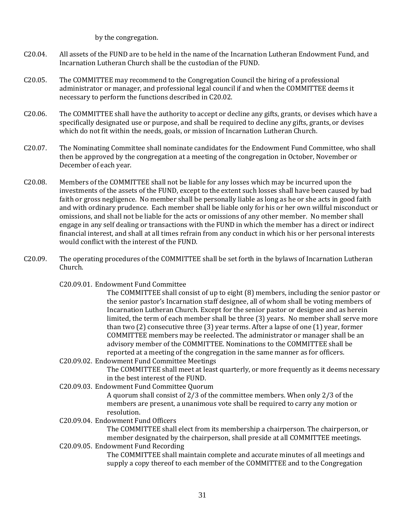by the congregation.

- C20.04. All assets of the FUND are to be held in the name of the Incarnation Lutheran Endowment Fund, and Incarnation Lutheran Church shall be the custodian of the FUND.
- C20.05. The COMMITTEE may recommend to the Congregation Council the hiring of a professional administrator or manager, and professional legal council if and when the COMMITTEE deems it necessary to perform the functions described in C20.02.
- C20.06. The COMMITTEE shall have the authority to accept or decline any gifts, grants, or devises which have a specifically designated use or purpose, and shall be required to decline any gifts, grants, or devises which do not fit within the needs, goals, or mission of Incarnation Lutheran Church.
- C20.07. The Nominating Committee shall nominate candidates for the Endowment Fund Committee, who shall then be approved by the congregation at a meeting of the congregation in October, November or December of each year.
- C20.08. Members of the COMMITTEE shall not be liable for any losses which may be incurred upon the investments of the assets of the FUND, except to the extent such losses shall have been caused by bad faith or gross negligence. No member shall be personally liable as long as he or she acts in good faith and with ordinary prudence. Each member shall be liable only for his or her own willful misconduct or omissions, and shall not be liable for the acts or omissions of any other member. No member shall engage in any self dealing or transactions with the FUND in which the member has a direct or indirect financial interest, and shall at all times refrain from any conduct in which his or her personal interests would conflict with the interest of the FUND.
- C20.09. The operating procedures of the COMMITTEE shall be set forth in the bylaws of Incarnation Lutheran Church.

C20.09.01. Endowment Fund Committee

The COMMITTEE shall consist of up to eight (8) members, including the senior pastor or the senior pastor's Incarnation staff designee, all of whom shall be voting members of Incarnation Lutheran Church. Except for the senior pastor or designee and as herein limited, the term of each member shall be three (3) years. No member shall serve more than two (2) consecutive three (3) year terms. After a lapse of one (1) year, former COMMITTEE members may be reelected. The administrator or manager shall be an advisory member of the COMMITTEE. Nominations to the COMMITTEE shall be reported at a meeting of the congregation in the same manner as for officers.

- C20.09.02. Endowment Fund Committee Meetings The COMMITTEE shall meet at least quarterly, or more frequently as it deems necessary in the best interest of the FUND.
- C20.09.03. Endowment Fund Committee Quorum

A quorum shall consist of 2/3 of the committee members. When only 2/3 of the members are present, a unanimous vote shall be required to carry any motion or resolution.

C20.09.04. Endowment Fund Officers

The COMMITTEE shall elect from its membership a chairperson. The chairperson, or member designated by the chairperson, shall preside at all COMMITTEE meetings.

C20.09.05. Endowment Fund Recording

The COMMITTEE shall maintain complete and accurate minutes of all meetings and supply a copy thereof to each member of the COMMITTEE and to the Congregation